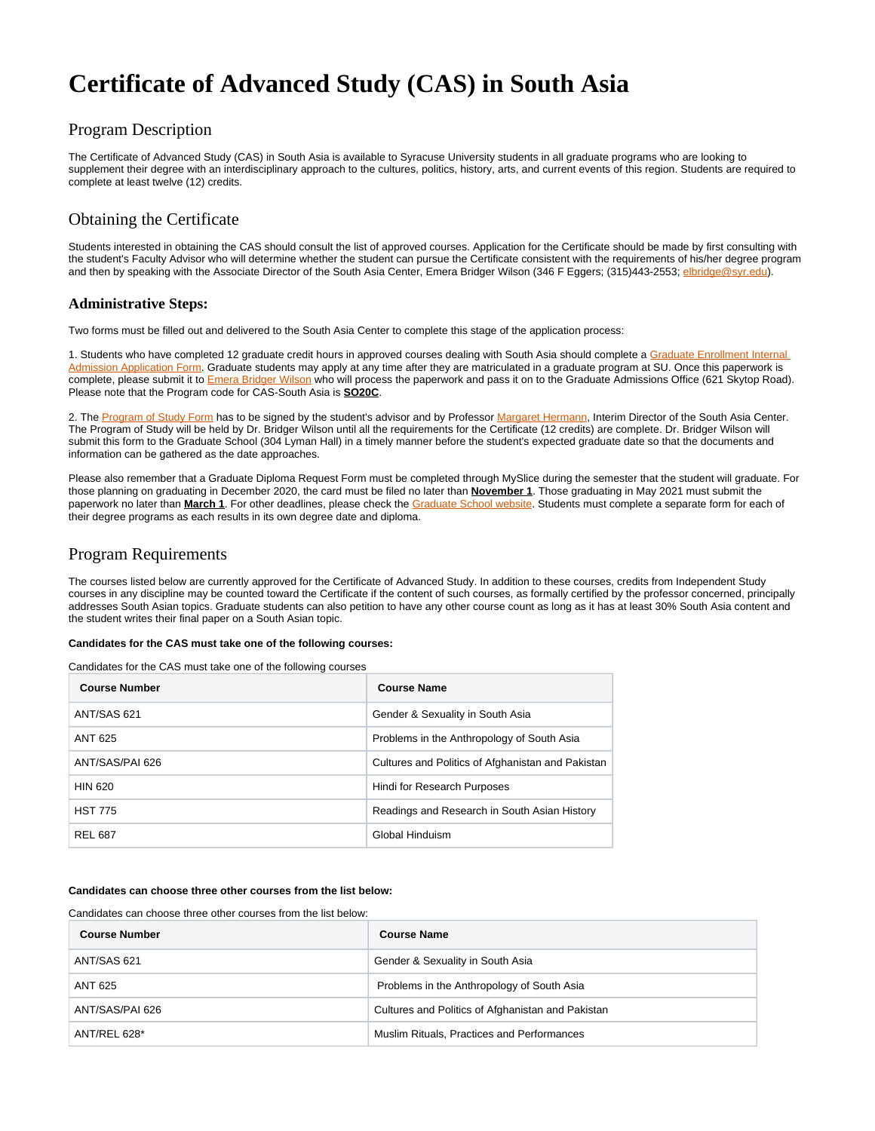# **Certificate of Advanced Study (CAS) in South Asia**

## Program Description

The Certificate of Advanced Study (CAS) in South Asia is available to Syracuse University students in all graduate programs who are looking to supplement their degree with an interdisciplinary approach to the cultures, politics, history, arts, and current events of this region. Students are required to complete at least twelve (12) credits.

# Obtaining the Certificate

Students interested in obtaining the CAS should consult the list of approved courses. Application for the Certificate should be made by first consulting with the student's Faculty Advisor who will determine whether the student can pursue the Certificate consistent with the requirements of his/her degree program and then by speaking with the Associate Director of the South Asia Center, Emera Bridger Wilson (346 F Eggers; (315)443-2553; [elbridge@syr.edu](mailto:elbridge@syr.edu)).

## **Administrative Steps:**

Two forms must be filled out and delivered to the South Asia Center to complete this stage of the application process:

1. Students who have completed 12 graduate credit hours in approved courses dealing with South Asia should complete a Graduate Enrollment Internal [Admission Application Form.](https://answers.syr.edu/download/attachments/152703381/Internal%20Admission%20Application%20Revised%203-16-21%281%29.pdf?version=1&modificationDate=1637321954000&api=v2) Graduate students may apply at any time after they are matriculated in a graduate program at SU. Once this paperwork is complete, please submit it to [Emera Bridger Wilson](mailto:elbridge@syr.edu) who will process the paperwork and pass it on to the Graduate Admissions Office (621 Skytop Road). Please note that the Program code for CAS-South Asia is **SO20C**.

2. The [Program of Study Form](https://answers.syr.edu/download/attachments/152703381/Program%20of%20Study%20Fillable.pdf?version=1&modificationDate=1637322006000&api=v2) has to be signed by the student's advisor and by Professor [Margaret Hermann,](mailto:mgherman@syr.edu) Interim Director of the South Asia Center. The Program of Study will be held by Dr. Bridger Wilson until all the requirements for the Certificate (12 credits) are complete. Dr. Bridger Wilson will submit this form to the Graduate School (304 Lyman Hall) in a timely manner before the student's expected graduate date so that the documents and information can be gathered as the date approaches.

Please also remember that a Graduate Diploma Request Form must be completed through MySlice during the semester that the student will graduate. For those planning on graduating in December 2020, the card must be filed no later than **November 1**. Those graduating in May 2021 must submit the paperwork no later than **March 1**. For other deadlines, please check the [Graduate School website](http://graduateschool.syr.edu/). Students must complete a separate form for each of their degree programs as each results in its own degree date and diploma.

## Program Requirements

The courses listed below are currently approved for the Certificate of Advanced Study. In addition to these courses, credits from Independent Study courses in any discipline may be counted toward the Certificate if the content of such courses, as formally certified by the professor concerned, principally addresses South Asian topics. Graduate students can also petition to have any other course count as long as it has at least 30% South Asia content and the student writes their final paper on a South Asian topic.

#### **Candidates for the CAS must take one of the following courses:**

Candidates for the CAS must take one of the following courses

| <b>Course Number</b> | <b>Course Name</b>                                |
|----------------------|---------------------------------------------------|
| ANT/SAS 621          | Gender & Sexuality in South Asia                  |
| ANT 625              | Problems in the Anthropology of South Asia        |
| ANT/SAS/PAI 626      | Cultures and Politics of Afghanistan and Pakistan |
| <b>HIN 620</b>       | Hindi for Research Purposes                       |
| <b>HST 775</b>       | Readings and Research in South Asian History      |
| <b>REL 687</b>       | Global Hinduism                                   |

### **Candidates can choose three other courses from the list below:**

Candidates can choose three other courses from the list below:

| <b>Course Number</b> | <b>Course Name</b>                                |
|----------------------|---------------------------------------------------|
| ANT/SAS 621          | Gender & Sexuality in South Asia                  |
| ANT 625              | Problems in the Anthropology of South Asia        |
| ANT/SAS/PAI 626      | Cultures and Politics of Afghanistan and Pakistan |
| ANT/REL 628*         | Muslim Rituals, Practices and Performances        |